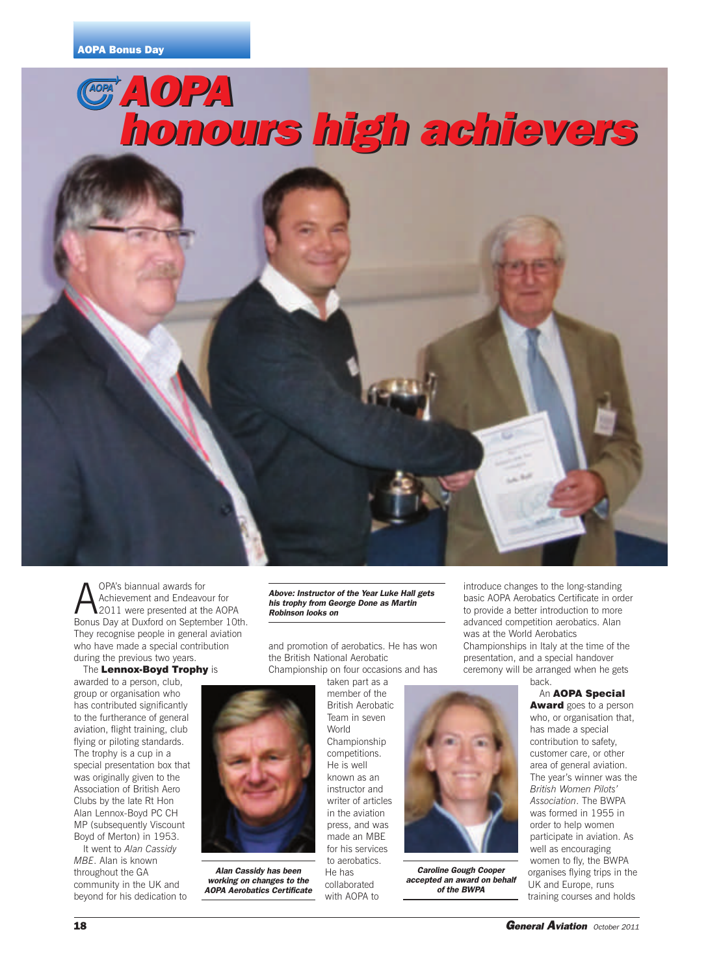

**A** OPA's biannual awards for<br>Achievement and Endeave<br>Peoples Day at Durford on Septem Achievement and Endeavour for 2011 were presented at the AOPA Bonus Day at Duxford on September 10th. They recognise people in general aviation who have made a special contribution during the previous two years.

The **Lennox-Boyd Trophy** is

awarded to a person, club, group or organisation who has contributed significantly to the furtherance of general aviation, flight training, club flying or piloting standards. The trophy is a cup in a special presentation box that was originally given to the Association of British Aero Clubs by the late Rt Hon Alan Lennox-Boyd PC CH MP (subsequently Viscount Boyd of Merton) in 1953.

It went to *Alan Cassidy MBE*. Alan is known throughout the GA community in the UK and beyond for his dedication to

*Above: Instructor of the Year Luke Hall gets his trophy from George Done as Martin Robinson looks on*

and promotion of aerobatics. He has won the British National Aerobatic

Championship on four occasions and has

taken part as a

*Alan Cassidy has been working on changes to the AOPA Aerobatics Certificate*

member of the British Aerobatic Team in seven World Championship competitions. He is well known as an instructor and writer of articles in the aviation press, and was made an MBE for his services to aerobatics. He has collaborated with AOPA to

*Caroline Gough Cooper accepted an award on behalf of the BWPA*

introduce changes to the long-standing basic AOPA Aerobatics Certificate in order to provide a better introduction to more advanced competition aerobatics. Alan was at the World Aerobatics

Championships in Italy at the time of the presentation, and a special handover ceremony will be arranged when he gets

back. An **AOPA Special**

**Award** goes to a person who, or organisation that, has made a special contribution to safety, customer care, or other area of general aviation. The year's winner was the *British Women Pilots' Association*. The BWPA was formed in 1955 in order to help women participate in aviation. As well as encouraging women to fly, the BWPA organises flying trips in the UK and Europe, runs training courses and holds



**18** *General Aviation October <sup>2011</sup>*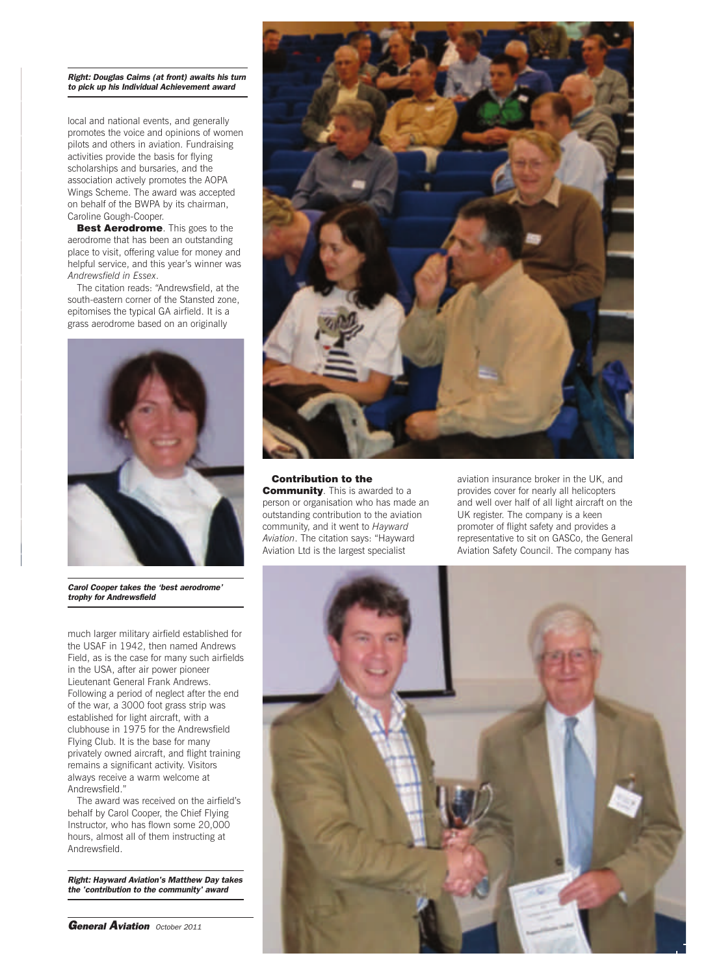## *Right: Douglas Cairns (at front) awaits his turn to pick up his Individual Achievement award*

local and national events, and generally promotes the voice and opinions of women pilots and others in aviation. Fundraising activities provide the basis for flying scholarships and bursaries, and the association actively promotes the AOPA Wings Scheme. The award was accepted on behalf of the BWPA by its chairman, Caroline Gough-Cooper.

**Best Aerodrome**. This goes to the aerodrome that has been an outstanding place to visit, offering value for money and helpful service, and this year's winner was *Andrewsfield in Essex*.

The citation reads: "Andrewsfield, at the south-eastern corner of the Stansted zone, epitomises the typical GA airfield. It is a grass aerodrome based on an originally



*Carol Cooper takes the 'best aerodrome' trophy for Andrewsfield*

much larger military airfield established for the USAF in 1942, then named Andrews Field, as is the case for many such airfields in the USA, after air power pioneer Lieutenant General Frank Andrews. Following a period of neglect after the end of the war, a 3000 foot grass strip was established for light aircraft, with a clubhouse in 1975 for the Andrewsfield Flying Club. It is the base for many privately owned aircraft, and flight training remains a significant activity. Visitors always receive a warm welcome at Andrewsfield."

The award was received on the airfield's behalf by Carol Cooper, the Chief Flying Instructor, who has flown some 20,000 hours, almost all of them instructing at Andrewsfield.

*Right: Hayward Aviation's Matthew Day takes the 'contribution to the community' award*



**Contribution to the Community**. This is awarded to a person or organisation who has made an outstanding contribution to the aviation community, and it went to *Hayward Aviation*. The citation says: "Hayward Aviation Ltd is the largest specialist

aviation insurance broker in the UK, and provides cover for nearly all helicopters and well over half of all light aircraft on the UK register. The company is a keen promoter of flight safety and provides a representative to sit on GASCo, the General Aviation Safety Council. The company has